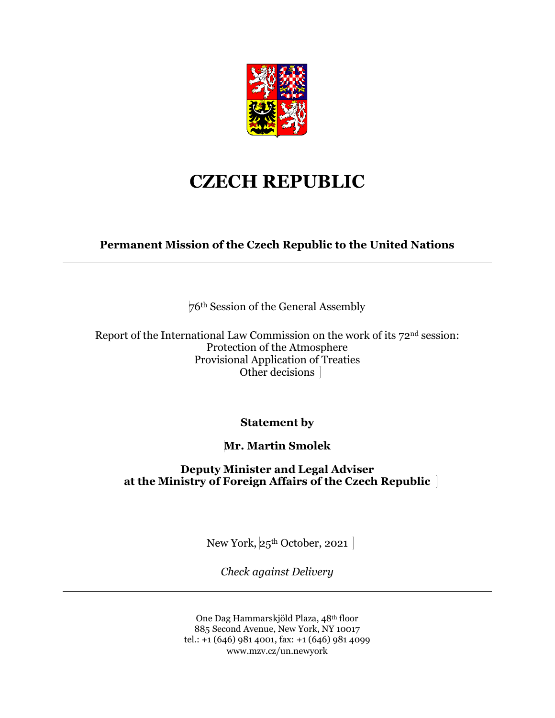

## **CZECH REPUBLIC**

**Permanent Mission of the Czech Republic to the United Nations**

76th Session of the General Assembly

Report of the International Law Commission on the work of its 72nd session: Protection of the Atmosphere Provisional Application of Treaties Other decisions

**Statement by**

**Mr. Martin Smolek**

**Deputy Minister and Legal Adviser at the Ministry of Foreign Affairs of the Czech Republic**

New York, 25<sup>th</sup> October, 2021

*Check against Delivery*

One Dag Hammarskjöld Plaza, 48th floor 885 Second Avenue, New York, NY 10017 tel.: +1 (646) 981 4001, fax: +1 (646) 981 4099 www.mzv.cz/un.newyork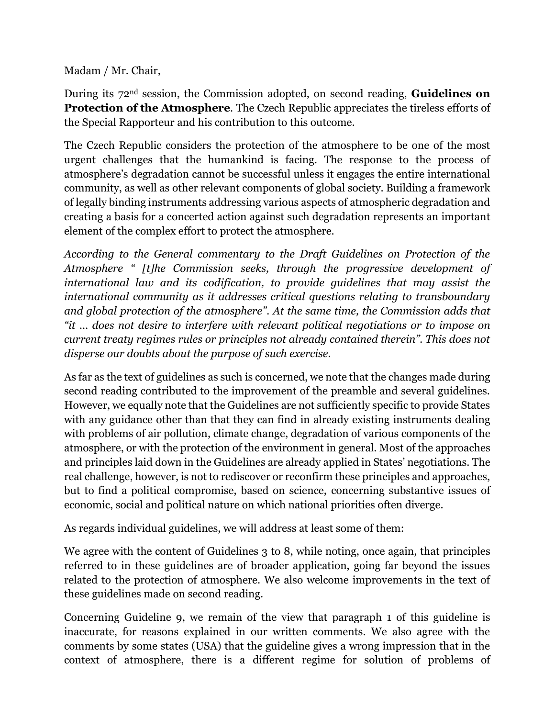Madam / Mr. Chair,

During its 72nd session, the Commission adopted, on second reading, **Guidelines on Protection of the Atmosphere**. The Czech Republic appreciates the tireless efforts of the Special Rapporteur and his contribution to this outcome.

The Czech Republic considers the protection of the atmosphere to be one of the most urgent challenges that the humankind is facing. The response to the process of atmosphere's degradation cannot be successful unless it engages the entire international community, as well as other relevant components of global society. Building a framework of legally binding instruments addressing various aspects of atmospheric degradation and creating a basis for a concerted action against such degradation represents an important element of the complex effort to protect the atmosphere.

*According to the General commentary to the Draft Guidelines on Protection of the Atmosphere " [t]he Commission seeks, through the progressive development of international law and its codification, to provide guidelines that may assist the international community as it addresses critical questions relating to transboundary and global protection of the atmosphere". At the same time, the Commission adds that "it … does not desire to interfere with relevant political negotiations or to impose on current treaty regimes rules or principles not already contained therein". This does not disperse our doubts about the purpose of such exercise.*

As far as the text of guidelines as such is concerned, we note that the changes made during second reading contributed to the improvement of the preamble and several guidelines. However, we equally note that the Guidelines are not sufficiently specific to provide States with any guidance other than that they can find in already existing instruments dealing with problems of air pollution, climate change, degradation of various components of the atmosphere, or with the protection of the environment in general. Most of the approaches and principles laid down in the Guidelines are already applied in States' negotiations. The real challenge, however, is not to rediscover or reconfirm these principles and approaches, but to find a political compromise, based on science, concerning substantive issues of economic, social and political nature on which national priorities often diverge.

As regards individual guidelines, we will address at least some of them:

We agree with the content of Guidelines 3 to 8, while noting, once again, that principles referred to in these guidelines are of broader application, going far beyond the issues related to the protection of atmosphere. We also welcome improvements in the text of these guidelines made on second reading.

Concerning Guideline 9, we remain of the view that paragraph 1 of this guideline is inaccurate, for reasons explained in our written comments. We also agree with the comments by some states (USA) that the guideline gives a wrong impression that in the context of atmosphere, there is a different regime for solution of problems of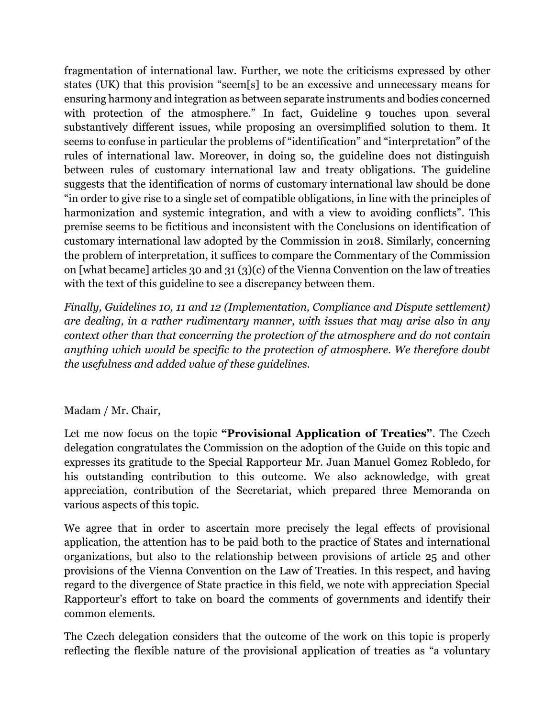fragmentation of international law. Further, we note the criticisms expressed by other states (UK) that this provision "seem[s] to be an excessive and unnecessary means for ensuring harmony and integration as between separate instruments and bodies concerned with protection of the atmosphere." In fact, Guideline 9 touches upon several substantively different issues, while proposing an oversimplified solution to them. It seems to confuse in particular the problems of "identification" and "interpretation" of the rules of international law. Moreover, in doing so, the guideline does not distinguish between rules of customary international law and treaty obligations. The guideline suggests that the identification of norms of customary international law should be done "in order to give rise to a single set of compatible obligations, in line with the principles of harmonization and systemic integration, and with a view to avoiding conflicts". This premise seems to be fictitious and inconsistent with the Conclusions on identification of customary international law adopted by the Commission in 2018. Similarly, concerning the problem of interpretation, it suffices to compare the Commentary of the Commission on [what became] articles 30 and 31 (3)(c) of the Vienna Convention on the law of treaties with the text of this guideline to see a discrepancy between them.

*Finally, Guidelines 10, 11 and 12 (Implementation, Compliance and Dispute settlement) are dealing, in a rather rudimentary manner, with issues that may arise also in any context other than that concerning the protection of the atmosphere and do not contain anything which would be specific to the protection of atmosphere. We therefore doubt the usefulness and added value of these guidelines.*

## Madam / Mr. Chair,

Let me now focus on the topic **"Provisional Application of Treaties"**. The Czech delegation congratulates the Commission on the adoption of the Guide on this topic and expresses its gratitude to the Special Rapporteur Mr. Juan Manuel Gomez Robledo, for his outstanding contribution to this outcome. We also acknowledge, with great appreciation, contribution of the Secretariat, which prepared three Memoranda on various aspects of this topic.

We agree that in order to ascertain more precisely the legal effects of provisional application, the attention has to be paid both to the practice of States and international organizations, but also to the relationship between provisions of article 25 and other provisions of the Vienna Convention on the Law of Treaties. In this respect, and having regard to the divergence of State practice in this field, we note with appreciation Special Rapporteur's effort to take on board the comments of governments and identify their common elements.

The Czech delegation considers that the outcome of the work on this topic is properly reflecting the flexible nature of the provisional application of treaties as "a voluntary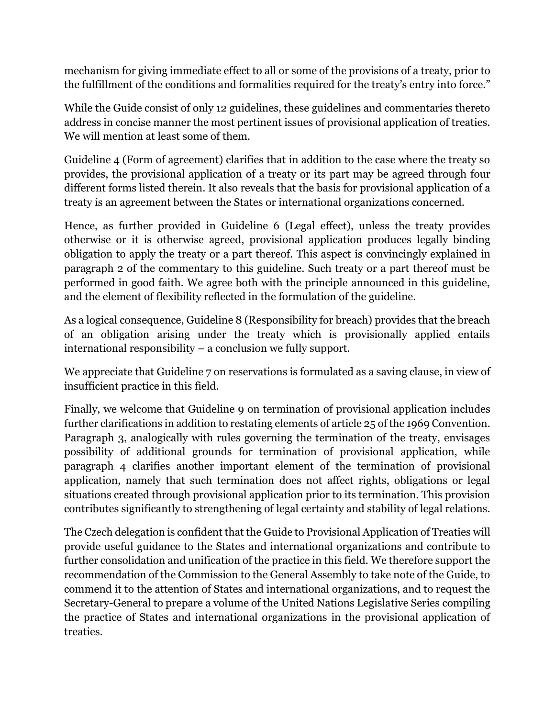mechanism for giving immediate effect to all or some of the provisions of a treaty, prior to the fulfillment of the conditions and formalities required for the treaty's entry into force."

While the Guide consist of only 12 guidelines, these guidelines and commentaries thereto address in concise manner the most pertinent issues of provisional application of treaties. We will mention at least some of them.

Guideline 4 (Form of agreement) clarifies that in addition to the case where the treaty so provides, the provisional application of a treaty or its part may be agreed through four different forms listed therein. It also reveals that the basis for provisional application of a treaty is an agreement between the States or international organizations concerned.

Hence, as further provided in Guideline 6 (Legal effect), unless the treaty provides otherwise or it is otherwise agreed, provisional application produces legally binding obligation to apply the treaty or a part thereof. This aspect is convincingly explained in paragraph 2 of the commentary to this guideline. Such treaty or a part thereof must be performed in good faith. We agree both with the principle announced in this guideline, and the element of flexibility reflected in the formulation of the guideline.

As a logical consequence, Guideline 8 (Responsibility for breach) provides that the breach of an obligation arising under the treaty which is provisionally applied entails international responsibility – a conclusion we fully support.

We appreciate that Guideline 7 on reservations is formulated as a saving clause, in view of insufficient practice in this field.

Finally, we welcome that Guideline 9 on termination of provisional application includes further clarifications in addition to restating elements of article 25 of the 1969 Convention. Paragraph 3, analogically with rules governing the termination of the treaty, envisages possibility of additional grounds for termination of provisional application, while paragraph 4 clarifies another important element of the termination of provisional application, namely that such termination does not affect rights, obligations or legal situations created through provisional application prior to its termination. This provision contributes significantly to strengthening of legal certainty and stability of legal relations.

The Czech delegation is confident that the Guide to Provisional Application of Treaties will provide useful guidance to the States and international organizations and contribute to further consolidation and unification of the practice in this field. We therefore support the recommendation of the Commission to the General Assembly to take note of the Guide, to commend it to the attention of States and international organizations, and to request the Secretary-General to prepare a volume of the United Nations Legislative Series compiling the practice of States and international organizations in the provisional application of treaties.